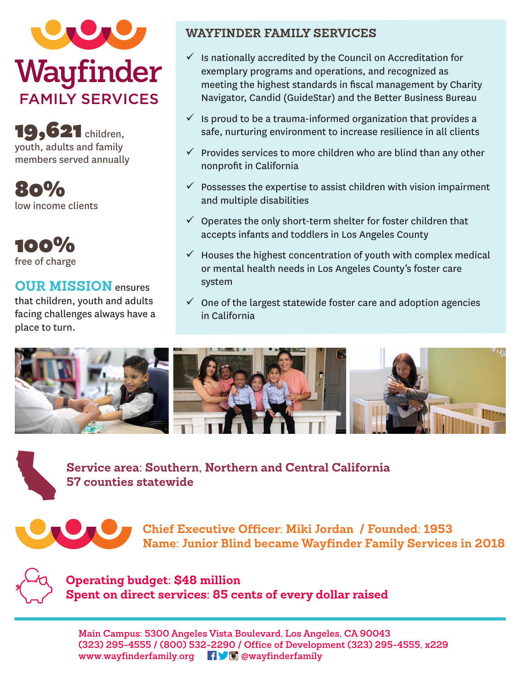

19, **621** children, youth, adults and family members served annually

80% low income clients

100% free of charge

## **OUR MISSION** ensures

that children, youth and adults facing challenges always have a place to turn.

### **WAYFINDER FAMILY SERVICES**

- $\checkmark$  Is nationally accredited by the Council on Accreditation for exemplary programs and operations, and recognized as meeting the highest standards in fiscal management by Charity Navigator, Candid (GuideStar) and the Better Business Bureau
- $\checkmark$  is proud to be a trauma-informed organization that provides a safe, nurturing environment to increase resilience in all clients
- $\checkmark$  Provides services to more children who are blind than any other nonprofit in California
- $\checkmark$  Possesses the expertise to assist children with vision impairment and multiple disabilities
- $\checkmark$  Operates the only short-term shelter for foster children that accepts infants and toddlers in Los Angeles County
- $\checkmark$  Houses the highest concentration of youth with complex medical or mental health needs in Los Angeles County's foster care system
- $\checkmark$  One of the largest statewide foster care and adoption agencies in California



**Service area: Southern, Northern and Central California 57 counties statewide**



**Chief Executive Officer: Miki Jordan / Founded: 1953 Name: Junior Blind became Wayfinder Family Services in 2018**



**Operating budget: \$48 million Spent on direct services: 85 cents of every dollar raised**

**Main Campus: 5300 Angeles Vista Boulevard, Los Angeles, CA 90043 (323) 295-4555 / (800) 532-2290 / Office of Development (323) 295-4555, x229 www.wayfinderfamily.org @wayfinderfamily**